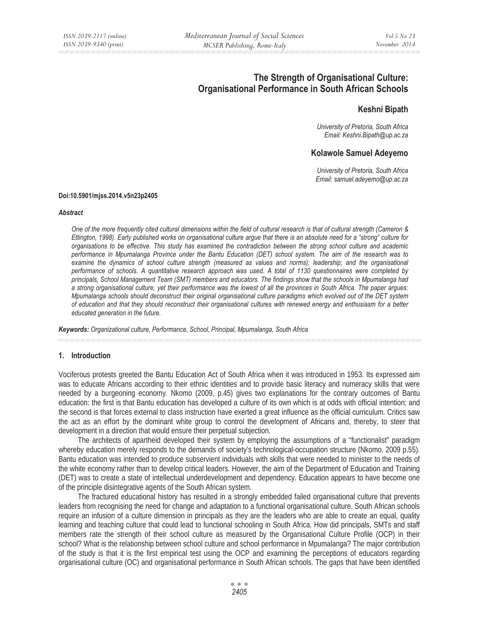# **The Strength of Organisational Culture: Organisational Performance in South African Schools**

# **Keshni Bipath**

*University of Pretoria, South Africa Email: Keshni.Bipath@up.ac.za* 

# **Kolawole Samuel Adeyemo**

*University of Pretoria, South Africa Email: samuel.adeyemo@up.ac.za* 

#### **Doi:10.5901/mjss.2014.v5n23p2405**

#### *Abstract*

*One of the more frequently cited cultural dimensions within the field of cultural research is that of cultural strength (Cameron & Ettington, 1998). Early published works on organisational culture argue that there is an absolute need for a "strong" culture for organisations to be effective. This study has examined the contradiction between the strong school culture and academic performance in Mpumalanga Province under the Bantu Education (DET) school system. The aim of the research was to*  examine the dynamics of school culture strength (measured as values and norms); leadership; and the organisational *performance of schools. A quantitative research approach was used. A total of 1130 questionnaires were completed by principals, School Management Team (SMT) members and educators. The findings show that the schools in Mpumalanga had a strong organisational culture, yet their performance was the lowest of all the provinces in South Africa. The paper argues: Mpumalanga schools should deconstruct their original organisational culture paradigms which evolved out of the DET system of education and that they should reconstruct their organisational cultures with renewed energy and enthusiasm for a better educated generation in the future.* 

*Keywords: Organizational culture, Performance, School, Principal, Mpumalanga, South Africa*

#### **1. Introduction**

Vociferous protests greeted the Bantu Education Act of South Africa when it was introduced in 1953. Its expressed aim was to educate Africans according to their ethnic identities and to provide basic literacy and numeracy skills that were needed by a burgeoning economy. Nkomo (2009, p.45) gives two explanations for the contrary outcomes of Bantu education: the first is that Bantu education has developed a culture of its own which is at odds with official intention; and the second is that forces external to class instruction have exerted a great influence as the official curriculum. Critics saw the act as an effort by the dominant white group to control the development of Africans and, thereby, to steer that development in a direction that would ensure their perpetual subjection.

The architects of apartheid developed their system by employing the assumptions of a "functionalist" paradigm whereby education merely responds to the demands of society's technological-occupation structure (Nkomo, 2009 p.55). Bantu education was intended to produce subservient individuals with skills that were needed to minister to the needs of the white economy rather than to develop critical leaders. However, the aim of the Department of Education and Training (DET) was to create a state of intellectual underdevelopment and dependency. Education appears to have become one of the principle disintegrative agents of the South African system.

The fractured educational history has resulted in a strongly embedded failed organisational culture that prevents leaders from recognising the need for change and adaptation to a functional organisational culture. South African schools require an infusion of a culture dimension in principals as they are the leaders who are able to create an equal, quality learning and teaching culture that could lead to functional schooling in South Africa. How did principals, SMTs and staff members rate the strength of their school culture as measured by the Organisational Culture Profile (OCP) in their school? What is the relationship between school culture and school performance in Mpumalanga? The major contribution of the study is that it is the first empirical test using the OCP and examining the perceptions of educators regarding organisational culture (OC) and organisational performance in South African schools. The gaps that have been identified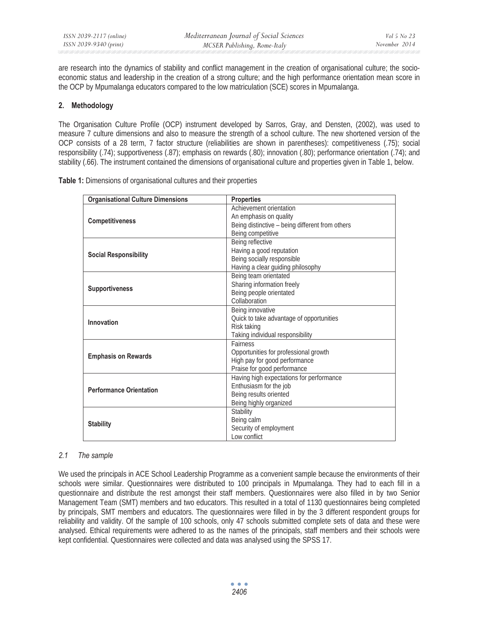are research into the dynamics of stability and conflict management in the creation of organisational culture; the socioeconomic status and leadership in the creation of a strong culture; and the high performance orientation mean score in the OCP by Mpumalanga educators compared to the low matriculation (SCE) scores in Mpumalanga.

# **2. Methodology**

The Organisation Culture Profile (OCP) instrument developed by Sarros, Gray, and Densten, (2002), was used to measure 7 culture dimensions and also to measure the strength of a school culture. The new shortened version of the OCP consists of a 28 term, 7 factor structure (reliabilities are shown in parentheses): competitiveness (.75); social responsibility (.74); supportiveness (.87); emphasis on rewards (.80); innovation (.80); performance orientation (.74); and stability (.66). The instrument contained the dimensions of organisational culture and properties given in Table 1, below.

| <b>Organisational Culture Dimensions</b> | <b>Properties</b>                                                                                                         |
|------------------------------------------|---------------------------------------------------------------------------------------------------------------------------|
| <b>Competitiveness</b>                   | Achievement orientation<br>An emphasis on quality<br>Being distinctive - being different from others<br>Being competitive |
| <b>Social Responsibility</b>             | Being reflective<br>Having a good reputation<br>Being socially responsible<br>Having a clear guiding philosophy           |
| <b>Supportiveness</b>                    | Being team orientated<br>Sharing information freely<br>Being people orientated<br>Collaboration                           |
| Innovation                               | Being innovative<br>Quick to take advantage of opportunities<br>Risk taking<br>Taking individual responsibility           |
| <b>Emphasis on Rewards</b>               | <b>Fairness</b><br>Opportunities for professional growth<br>High pay for good performance<br>Praise for good performance  |
| <b>Performance Orientation</b>           | Having high expectations for performance<br>Enthusiasm for the job<br>Being results oriented<br>Being highly organized    |
| <b>Stability</b>                         | Stability<br>Being calm<br>Security of employment<br>Low conflict                                                         |

**Table 1:** Dimensions of organisational cultures and their properties

# *2.1 The sample*

We used the principals in ACE School Leadership Programme as a convenient sample because the environments of their schools were similar. Questionnaires were distributed to 100 principals in Mpumalanga. They had to each fill in a questionnaire and distribute the rest amongst their staff members. Questionnaires were also filled in by two Senior Management Team (SMT) members and two educators. This resulted in a total of 1130 questionnaires being completed by principals, SMT members and educators. The questionnaires were filled in by the 3 different respondent groups for reliability and validity. Of the sample of 100 schools, only 47 schools submitted complete sets of data and these were analysed. Ethical requirements were adhered to as the names of the principals, staff members and their schools were kept confidential. Questionnaires were collected and data was analysed using the SPSS 17.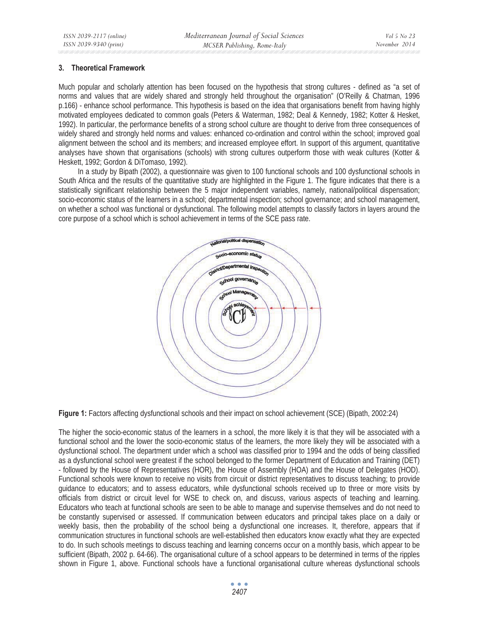### **3. Theoretical Framework**

Much popular and scholarly attention has been focused on the hypothesis that strong cultures - defined as "a set of norms and values that are widely shared and strongly held throughout the organisation" (O'Reilly & Chatman, 1996 p.166) - enhance school performance. This hypothesis is based on the idea that organisations benefit from having highly motivated employees dedicated to common goals (Peters & Waterman, 1982; Deal & Kennedy, 1982; Kotter & Hesket, 1992). In particular, the performance benefits of a strong school culture are thought to derive from three consequences of widely shared and strongly held norms and values: enhanced co-ordination and control within the school; improved goal alignment between the school and its members; and increased employee effort. In support of this argument, quantitative analyses have shown that organisations (schools) with strong cultures outperform those with weak cultures (Kotter & Heskett, 1992; Gordon & DiTomaso, 1992).

In a study by Bipath (2002), a questionnaire was given to 100 functional schools and 100 dysfunctional schools in South Africa and the results of the quantitative study are highlighted in the Figure 1. The figure indicates that there is a statistically significant relationship between the 5 major independent variables, namely, national/political dispensation; socio-economic status of the learners in a school; departmental inspection; school governance; and school management, on whether a school was functional or dysfunctional. The following model attempts to classify factors in layers around the core purpose of a school which is school achievement in terms of the SCE pass rate.



**Figure 1:** Factors affecting dysfunctional schools and their impact on school achievement (SCE) (Bipath, 2002:24)

The higher the socio-economic status of the learners in a school, the more likely it is that they will be associated with a functional school and the lower the socio-economic status of the learners, the more likely they will be associated with a dysfunctional school. The department under which a school was classified prior to 1994 and the odds of being classified as a dysfunctional school were greatest if the school belonged to the former Department of Education and Training (DET) - followed by the House of Representatives (HOR), the House of Assembly (HOA) and the House of Delegates (HOD). Functional schools were known to receive no visits from circuit or district representatives to discuss teaching; to provide guidance to educators; and to assess educators, while dysfunctional schools received up to three or more visits by officials from district or circuit level for WSE to check on, and discuss, various aspects of teaching and learning. Educators who teach at functional schools are seen to be able to manage and supervise themselves and do not need to be constantly supervised or assessed. If communication between educators and principal takes place on a daily or weekly basis, then the probability of the school being a dysfunctional one increases. It, therefore, appears that if communication structures in functional schools are well-established then educators know exactly what they are expected to do. In such schools meetings to discuss teaching and learning concerns occur on a monthly basis, which appear to be sufficient (Bipath, 2002 p. 64-66). The organisational culture of a school appears to be determined in terms of the ripples shown in Figure 1, above. Functional schools have a functional organisational culture whereas dysfunctional schools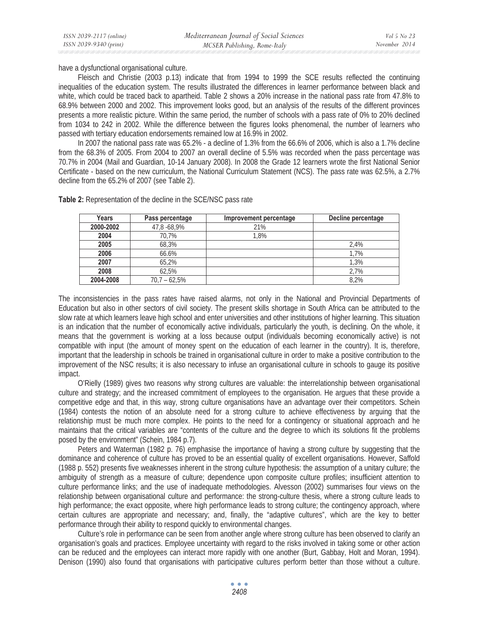have a dysfunctional organisational culture.

Fleisch and Christie (2003 p.13) indicate that from 1994 to 1999 the SCE results reflected the continuing inequalities of the education system. The results illustrated the differences in learner performance between black and white, which could be traced back to apartheid. Table 2 shows a 20% increase in the national pass rate from 47.8% to 68.9% between 2000 and 2002. This improvement looks good, but an analysis of the results of the different provinces presents a more realistic picture. Within the same period, the number of schools with a pass rate of 0% to 20% declined from 1034 to 242 in 2002. While the difference between the figures looks phenomenal, the number of learners who passed with tertiary education endorsements remained low at 16.9% in 2002.

In 2007 the national pass rate was 65.2% - a decline of 1.3% from the 66.6% of 2006, which is also a 1.7% decline from the 68.3% of 2005. From 2004 to 2007 an overall decline of 5.5% was recorded when the pass percentage was 70.7% in 2004 (Mail and Guardian, 10-14 January 2008). In 2008 the Grade 12 learners wrote the first National Senior Certificate - based on the new curriculum, the National Curriculum Statement (NCS). The pass rate was 62.5%, a 2.7% decline from the 65.2% of 2007 (see Table 2).

| Years     | Pass percentage | Improvement percentage | Decline percentage |
|-----------|-----------------|------------------------|--------------------|
| 2000-2002 | 47,8 -68,9%     | 21%                    |                    |
| 2004      | 70.7%           | 1.8%                   |                    |
| 2005      | 68.3%           |                        | 2.4%               |
| 2006      | 66.6%           |                        | 1.7%               |
| 2007      | 65,2%           |                        | 1.3%               |
| 2008      | 62.5%           |                        | 2.7%               |
| 2004-2008 | $70.7 - 62.5%$  |                        | 8.2%               |

**Table 2:** Representation of the decline in the SCE/NSC pass rate

The inconsistencies in the pass rates have raised alarms, not only in the National and Provincial Departments of Education but also in other sectors of civil society. The present skills shortage in South Africa can be attributed to the slow rate at which learners leave high school and enter universities and other institutions of higher learning. This situation is an indication that the number of economically active individuals, particularly the youth, is declining. On the whole, it means that the government is working at a loss because output (individuals becoming economically active) is not compatible with input (the amount of money spent on the education of each learner in the country). It is, therefore, important that the leadership in schools be trained in organisational culture in order to make a positive contribution to the improvement of the NSC results; it is also necessary to infuse an organisational culture in schools to gauge its positive impact.

O'Rielly (1989) gives two reasons why strong cultures are valuable: the interrelationship between organisational culture and strategy; and the increased commitment of employees to the organisation. He argues that these provide a competitive edge and that, in this way, strong culture organisations have an advantage over their competitors. Schein (1984) contests the notion of an absolute need for a strong culture to achieve effectiveness by arguing that the relationship must be much more complex. He points to the need for a contingency or situational approach and he maintains that the critical variables are "contents of the culture and the degree to which its solutions fit the problems posed by the environment" (Schein, 1984 p.7).

Peters and Waterman (1982 p. 76) emphasise the importance of having a strong culture by suggesting that the dominance and coherence of culture has proved to be an essential quality of excellent organisations. However, Saffold (1988 p. 552) presents five weaknesses inherent in the strong culture hypothesis: the assumption of a unitary culture; the ambiguity of strength as a measure of culture; dependence upon composite culture profiles; insufficient attention to culture performance links; and the use of inadequate methodologies. Alvesson (2002) summarises four views on the relationship between organisational culture and performance: the strong-culture thesis, where a strong culture leads to high performance; the exact opposite, where high performance leads to strong culture; the contingency approach, where certain cultures are appropriate and necessary; and, finally, the "adaptive cultures", which are the key to better performance through their ability to respond quickly to environmental changes.

Culture's role in performance can be seen from another angle where strong culture has been observed to clarify an organisation's goals and practices. Employee uncertainty with regard to the risks involved in taking some or other action can be reduced and the employees can interact more rapidly with one another (Burt, Gabbay, Holt and Moran, 1994). Denison (1990) also found that organisations with participative cultures perform better than those without a culture.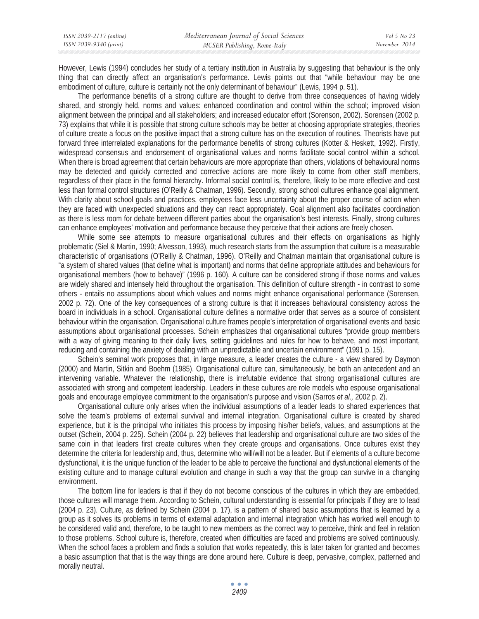However, Lewis (1994) concludes her study of a tertiary institution in Australia by suggesting that behaviour is the only thing that can directly affect an organisation's performance. Lewis points out that "while behaviour may be one embodiment of culture, culture is certainly not the only determinant of behaviour" (Lewis, 1994 p. 51).

The performance benefits of a strong culture are thought to derive from three consequences of having widely shared, and strongly held, norms and values: enhanced coordination and control within the school; improved vision alignment between the principal and all stakeholders; and increased educator effort (Sorenson, 2002). Sorensen (2002 p. 73) explains that while it is possible that strong culture schools may be better at choosing appropriate strategies, theories of culture create a focus on the positive impact that a strong culture has on the execution of routines. Theorists have put forward three interrelated explanations for the performance benefits of strong cultures (Kotter & Heskett, 1992). Firstly, widespread consensus and endorsement of organisational values and norms facilitate social control within a school. When there is broad agreement that certain behaviours are more appropriate than others, violations of behavioural norms may be detected and quickly corrected and corrective actions are more likely to come from other staff members, regardless of their place in the formal hierarchy. Informal social control is, therefore, likely to be more effective and cost less than formal control structures (O'Reilly & Chatman, 1996). Secondly, strong school cultures enhance goal alignment. With clarity about school goals and practices, employees face less uncertainty about the proper course of action when they are faced with unexpected situations and they can react appropriately. Goal alignment also facilitates coordination as there is less room for debate between different parties about the organisation's best interests. Finally, strong cultures can enhance employees' motivation and performance because they perceive that their actions are freely chosen.

While some see attempts to measure organisational cultures and their effects on organisations as highly problematic (Siel & Martin, 1990; Alvesson, 1993), much research starts from the assumption that culture is a measurable characteristic of organisations (O'Reilly & Chatman, 1996). O'Reilly and Chatman maintain that organisational culture is "a system of shared values (that define what is important) and norms that define appropriate attitudes and behaviours for organisational members (how to behave)" (1996 p. 160). A culture can be considered strong if those norms and values are widely shared and intensely held throughout the organisation. This definition of culture strength - in contrast to some others - entails no assumptions about which values and norms might enhance organisational performance (Sorensen, 2002 p. 72). One of the key consequences of a strong culture is that it increases behavioural consistency across the board in individuals in a school. Organisational culture defines a normative order that serves as a source of consistent behaviour within the organisation. Organisational culture frames people's interpretation of organisational events and basic assumptions about organisational processes. Schein emphasizes that organisational cultures "provide group members with a way of giving meaning to their daily lives, setting guidelines and rules for how to behave, and most important, reducing and containing the anxiety of dealing with an unpredictable and uncertain environment" (1991 p. 15).

Schein's seminal work proposes that, in large measure, a leader creates the culture - a view shared by Daymon (2000) and Martin, Sitkin and Boehm (1985). Organisational culture can, simultaneously, be both an antecedent and an intervening variable. Whatever the relationship, there is irrefutable evidence that strong organisational cultures are associated with strong and competent leadership. Leaders in these cultures are role models who espouse organisational goals and encourage employee commitment to the organisation's purpose and vision (Sarros *et al.,* 2002 p. 2).

Organisational culture only arises when the individual assumptions of a leader leads to shared experiences that solve the team's problems of external survival and internal integration. Organisational culture is created by shared experience, but it is the principal who initiates this process by imposing his/her beliefs, values, and assumptions at the outset (Schein, 2004 p. 225). Schein (2004 p. 22) believes that leadership and organisational culture are two sides of the same coin in that leaders first create cultures when they create groups and organisations. Once cultures exist they determine the criteria for leadership and, thus, determine who will/will not be a leader. But if elements of a culture become dysfunctional, it is the unique function of the leader to be able to perceive the functional and dysfunctional elements of the existing culture and to manage cultural evolution and change in such a way that the group can survive in a changing environment.

The bottom line for leaders is that if they do not become conscious of the cultures in which they are embedded, those cultures will manage them. According to Schein, cultural understanding is essential for principals if they are to lead (2004 p. 23). Culture, as defined by Schein (2004 p. 17), is a pattern of shared basic assumptions that is learned by a group as it solves its problems in terms of external adaptation and internal integration which has worked well enough to be considered valid and, therefore, to be taught to new members as the correct way to perceive, think and feel in relation to those problems. School culture is, therefore, created when difficulties are faced and problems are solved continuously. When the school faces a problem and finds a solution that works repeatedly, this is later taken for granted and becomes a basic assumption that that is the way things are done around here. Culture is deep, pervasive, complex, patterned and morally neutral.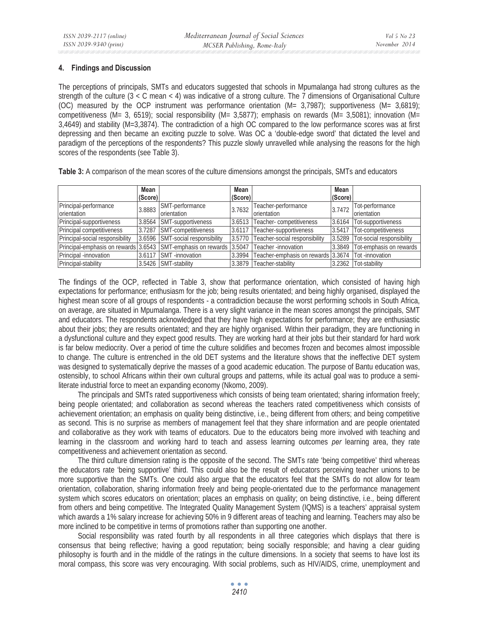## **4. Findings and Discussion**

The perceptions of principals, SMTs and educators suggested that schools in Mpumalanga had strong cultures as the strength of the culture (3 < C mean < 4) was indicative of a strong culture. The 7 dimensions of Organisational Culture (OC) measured by the OCP instrument was performance orientation  $(M= 3,7987)$ ; supportiveness  $(M= 3,6819)$ ; competitiveness (M= 3, 6519); social responsibility (M= 3,5877); emphasis on rewards (M= 3,5081); innovation (M= 3,4649) and stability (M=3,3874). The contradiction of a high OC compared to the low performance scores was at first depressing and then became an exciting puzzle to solve. Was OC a 'double-edge sword' that dictated the level and paradigm of the perceptions of the respondents? This puzzle slowly unravelled while analysing the reasons for the high scores of the respondents (see Table 3).

|                                      | <b>Mean</b><br>(Score) |                                  | Mean<br>(Score) |                                    | Mean<br>(Score) |                                |
|--------------------------------------|------------------------|----------------------------------|-----------------|------------------------------------|-----------------|--------------------------------|
| Principal-performance<br>orientation | 3.8883                 | SMT-performance<br>orientation   | 3.7632          | Teacher-performance<br>orientation | 3.7472          | Tot-performance<br>orientation |
| Principal-supportiveness             | 3.8564                 | SMT-supportiveness               | 3.6513          | Teacher-competitiveness            | 3.6164          | Tot-supportiveness             |
| Principal competitiveness            | 3.7287                 | SMT-competitiveness              | 3.6117          | Teacher-supportiveness             | 3.5417          | Tot-competitiveness            |
| Principal-social responsibility      |                        | 3.6596 SMT-social responsibility | 3.5770          | Teacher-social responsibility      | 3.5289          | Tot-social responsibility      |
| Principal-emphasis on rewards 3.6543 |                        | SMT-emphasis on rewards          | 3.5047          | Teacher -innovation                | 3.3849          | Tot-emphasis on rewards        |
| Principal -innovation                | 3.6117                 | SMT -innovation                  | 3.3994          | Teacher-emphasis on rewards 3.3674 |                 | Tot -innovation                |
| Principal-stability                  |                        | 3.5426 SMT-stability             | 3.3879          | Teacher-stability                  | 3.2362          | Tot-stability                  |

**Table 3:** A comparison of the mean scores of the culture dimensions amongst the principals, SMTs and educators

The findings of the OCP, reflected in Table 3, show that performance orientation, which consisted of having high expectations for performance; enthusiasm for the job; being results orientated; and being highly organised, displayed the highest mean score of all groups of respondents - a contradiction because the worst performing schools in South Africa, on average, are situated in Mpumalanga. There is a very slight variance in the mean scores amongst the principals, SMT and educators. The respondents acknowledged that they have high expectations for performance; they are enthusiastic about their jobs; they are results orientated; and they are highly organised. Within their paradigm, they are functioning in a dysfunctional culture and they expect good results. They are working hard at their jobs but their standard for hard work is far below mediocrity. Over a period of time the culture solidifies and becomes frozen and becomes almost impossible to change. The culture is entrenched in the old DET systems and the literature shows that the ineffective DET system was designed to systematically deprive the masses of a good academic education. The purpose of Bantu education was, ostensibly, to school Africans within their own cultural groups and patterns, while its actual goal was to produce a semiliterate industrial force to meet an expanding economy (Nkomo, 2009).

The principals and SMTs rated supportiveness which consists of being team orientated; sharing information freely; being people orientated; and collaboration as second whereas the teachers rated competitiveness which consists of achievement orientation; an emphasis on quality being distinctive, i.e., being different from others; and being competitive as second. This is no surprise as members of management feel that they share information and are people orientated and collaborative as they work with teams of educators. Due to the educators being more involved with teaching and learning in the classroom and working hard to teach and assess learning outcomes *per* learning area, they rate competitiveness and achievement orientation as second.

The third culture dimension rating is the opposite of the second. The SMTs rate 'being competitive' third whereas the educators rate 'being supportive' third. This could also be the result of educators perceiving teacher unions to be more supportive than the SMTs. One could also argue that the educators feel that the SMTs do not allow for team orientation, collaboration, sharing information freely and being people-orientated due to the performance management system which scores educators on orientation; places an emphasis on quality; on being distinctive, i.e., being different from others and being competitive. The Integrated Quality Management System (IQMS) is a teachers' appraisal system which awards a 1% salary increase for achieving 50% in 9 different areas of teaching and learning. Teachers may also be more inclined to be competitive in terms of promotions rather than supporting one another.

Social responsibility was rated fourth by all respondents in all three categories which displays that there is consensus that being reflective; having a good reputation; being socially responsible; and having a clear guiding philosophy is fourth and in the middle of the ratings in the culture dimensions. In a society that seems to have lost its moral compass, this score was very encouraging. With social problems, such as HIV/AIDS, crime, unemployment and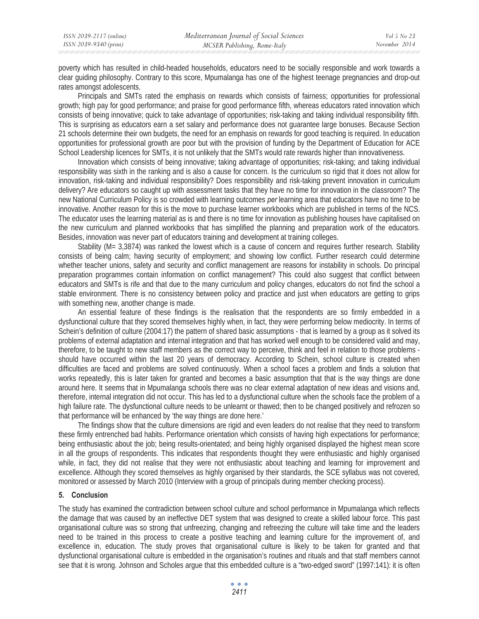poverty which has resulted in child-headed households, educators need to be socially responsible and work towards a clear guiding philosophy. Contrary to this score, Mpumalanga has one of the highest teenage pregnancies and drop-out rates amongst adolescents.

Principals and SMTs rated the emphasis on rewards which consists of fairness; opportunities for professional growth; high pay for good performance; and praise for good performance fifth, whereas educators rated innovation which consists of being innovative; quick to take advantage of opportunities; risk-taking and taking individual responsibility fifth. This is surprising as educators earn a set salary and performance does not guarantee large bonuses. Because Section 21 schools determine their own budgets, the need for an emphasis on rewards for good teaching is required. In education opportunities for professional growth are poor but with the provision of funding by the Department of Education for ACE School Leadership licences for SMTs, it is not unlikely that the SMTs would rate rewards higher than innovativeness.

Innovation which consists of being innovative; taking advantage of opportunities; risk-taking; and taking individual responsibility was sixth in the ranking and is also a cause for concern. Is the curriculum so rigid that it does not allow for innovation, risk-taking and individual responsibility? Does responsibility and risk-taking prevent innovation in curriculum delivery? Are educators so caught up with assessment tasks that they have no time for innovation in the classroom? The new National Curriculum Policy is so crowded with learning outcomes *per* learning area that educators have no time to be innovative. Another reason for this is the move to purchase learner workbooks which are published in terms of the NCS. The educator uses the learning material as is and there is no time for innovation as publishing houses have capitalised on the new curriculum and planned workbooks that has simplified the planning and preparation work of the educators. Besides, innovation was never part of educators training and development at training colleges.

Stability (M= 3,3874) was ranked the lowest which is a cause of concern and requires further research. Stability consists of being calm; having security of employment; and showing low conflict. Further research could determine whether teacher unions, safety and security and conflict management are reasons for instability in schools. Do principal preparation programmes contain information on conflict management? This could also suggest that conflict between educators and SMTs is rife and that due to the many curriculum and policy changes, educators do not find the school a stable environment. There is no consistency between policy and practice and just when educators are getting to grips with something new, another change is made.

An essential feature of these findings is the realisation that the respondents are so firmly embedded in a dysfunctional culture that they scored themselves highly when, in fact, they were performing below mediocrity. In terms of Schein's definition of culture (2004:17) the pattern of shared basic assumptions - that is learned by a group as it solved its problems of external adaptation and internal integration and that has worked well enough to be considered valid and may, therefore, to be taught to new staff members as the correct way to perceive, think and feel in relation to those problems should have occurred within the last 20 years of democracy. According to Schein, school culture is created when difficulties are faced and problems are solved continuously. When a school faces a problem and finds a solution that works repeatedly, this is later taken for granted and becomes a basic assumption that that is the way things are done around here. It seems that in Mpumalanga schools there was no clear external adaptation of new ideas and visions and, therefore, internal integration did not occur. This has led to a dysfunctional culture when the schools face the problem of a high failure rate. The dysfunctional culture needs to be unlearnt or thawed; then to be changed positively and refrozen so that performance will be enhanced by 'the way things are done here.'

The findings show that the culture dimensions are rigid and even leaders do not realise that they need to transform these firmly entrenched bad habits. Performance orientation which consists of having high expectations for performance; being enthusiastic about the job; being results-orientated; and being highly organised displayed the highest mean score in all the groups of respondents. This indicates that respondents thought they were enthusiastic and highly organised while, in fact, they did not realise that they were not enthusiastic about teaching and learning for improvement and excellence. Although they scored themselves as highly organised by their standards, the SCE syllabus was not covered, monitored or assessed by March 2010 (Interview with a group of principals during member checking process).

## **5. Conclusion**

The study has examined the contradiction between school culture and school performance in Mpumalanga which reflects the damage that was caused by an ineffective DET system that was designed to create a skilled labour force. This past organisational culture was so strong that unfreezing, changing and refreezing the culture will take time and the leaders need to be trained in this process to create a positive teaching and learning culture for the improvement of, and excellence in, education. The study proves that organisational culture is likely to be taken for granted and that dysfunctional organisational culture is embedded in the organisation's routines and rituals and that staff members cannot see that it is wrong. Johnson and Scholes argue that this embedded culture is a "two-edged sword" (1997:141): it is often